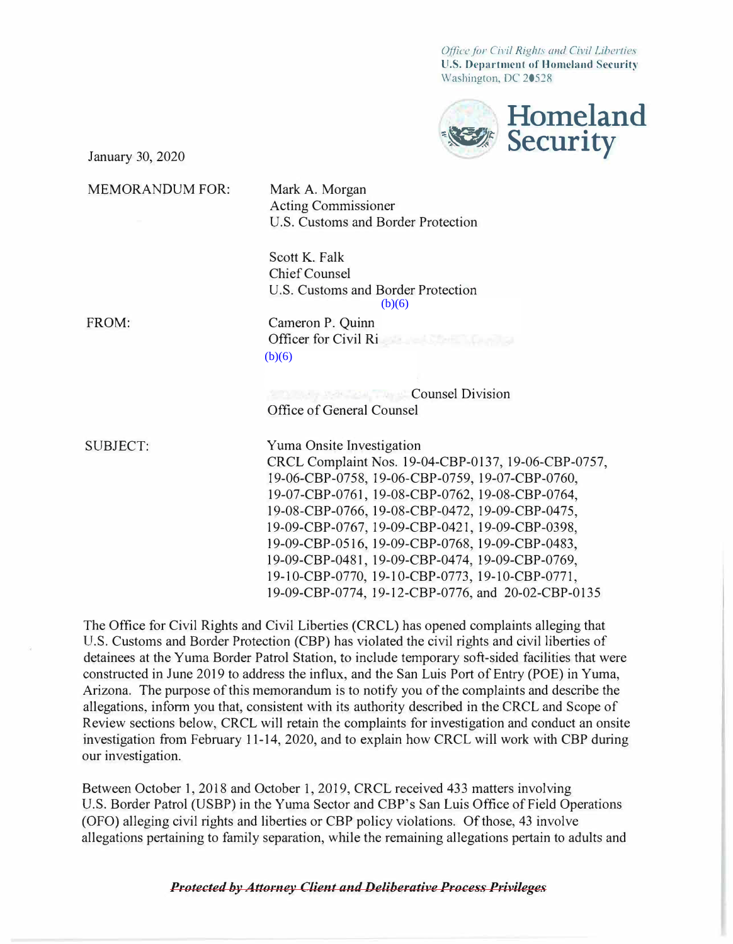*Office for Civil Rights and Civil Liberties*  **U.S. Department of Homeland Security**  Washington, DC 20528



January 30, 2020

MEMORANDUM FOR:

Mark A. Morgan Acting Commissioner U.S. Customs and Border Protection

Scott K. Falk Chief Counsel U.S. Customs and Border Protection  $(b)(6)$ 

FROM:

Cameron P. Quinn Officer for Civil Ri  $(b)(6)$ 

**Counsel Division** Office of General Counsel

SUBJECT: Yuma Onsite Investigation CRCL Complaint Nos. 19-04-CBP-0137, 19-06-CBP-0757, 19-06-CBP-0758, 19-06-CBP-0759, 19-07-CBP-0760, 19-07-CBP-0761, 19-08-CBP-0762, 19-08-CBP-0764, 19-08-CBP-0766, 19-08-CBP-0472, 19-09-CBP-0475, 19-09-CBP-0767, 19-09-CBP-042 l, 19-09-CBP-0398, 19-09-CBP-0516, 19-09-CBP-0768, 19-09-CBP-0483, 19-09-CBP-0481, 19-09-CBP-0474, 19-09-CBP-0769, 19-10-CBP-0770, 19-10-CBP-0773, 19-10-CBP-0771, 19-09-CBP-0774, 19-12-CBP-0776, and 20-02-CBP-0135

The Office for Civil Rights and Civil Liberties (CRCL) has opened complaints alleging that U.S. Customs and Border Protection (CBP) has violated the civil rights and civil liberties of detainees at the Yuma Border Patrol Station, to include temporary soft-sided facilities that were constructed in June 2019 to address the influx, and the San Luis Port of Entry (POE) in Yuma, Arizona. The purpose of this memorandum is to notify you of the complaints and describe the allegations, inform you that, consistent with its authority described in the CRCL and Scope of Review sections below, CRCL will retain the complaints for investigation and conduct an onsite investigation from February 11-14, 2020, and to explain how CRCL will work with CBP during our investigation.

Between October 1, 2018 and October 1, 2019, CRCL received 433 matters involving U.S. Border Patrol (USBP) in the Yuma Sector and CBP's San Luis Office of Field Operations (OFO) alleging civil rights and liberties or CBP policy violations. Of those, 43 involve allegations pertaining to family separation, while the remaining allegations pertain to adults and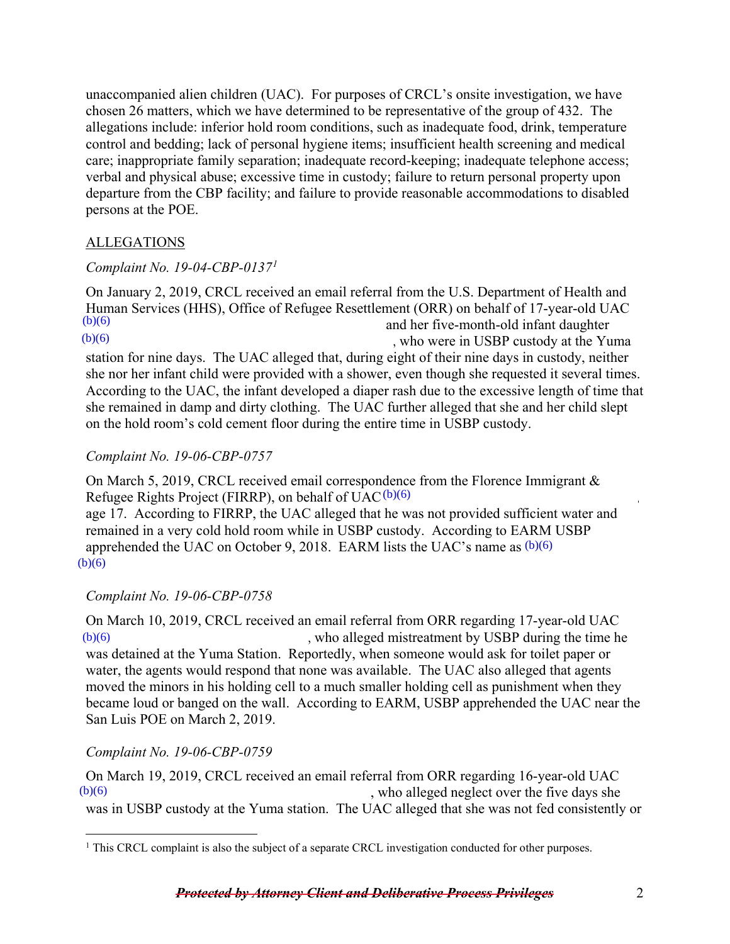unaccompanied alien children (UAC). For purposes of CRCL's onsite investigation, we have chosen 26 matters, which we have determined to be representative of the group of 432. The allegations include: inferior hold room conditions, such as inadequate food, drink, temperature control and bedding; lack of personal hygiene items; insufficient health screening and medical care; inappropriate family separation; inadequate record-keeping; inadequate telephone access; verbal and physical abuse; excessive time in custody; failure to return personal property upon departure from the CBP facility; and failure to provide reasonable accommodations to disabled persons at the POE.

# ALLEGATIONS

## *Complaint No. 19-04-CBP-0137[1](#page-1-0)*

On January 2, 2019, CRCL received an email referral from the U.S. Department of Health and Human Services (HHS), Office of Refugee Resettlement (ORR) on behalf of 17-year-old UAC and her five-month-old infant daughter , who were in USBP custody at the Yuma station for nine days. The UAC alleged that, during eight of their nine days in custody, neither she nor her infant child were provided with a shower, even though she requested it several times. According to the UAC, the infant developed a diaper rash due to the excessive length of time that she remained in damp and dirty clothing. The UAC further alleged that she and her child slept on the hold room's cold cement floor during the entire time in USBP custody.  $(b)(6)$  $(b)(6)$ 

# *Complaint No. 19-06-CBP-0757*

On March 5, 2019, CRCL received email correspondence from the Florence Immigrant & Refugee Rights Project (FIRRP), on behalf of  $UAC^{(b)(6)}$ ,

age 17. According to FIRRP, the UAC alleged that he was not provided sufficient water and remained in a very cold hold room while in USBP custody. According to EARM USBP apprehended the UAC on October 9, 2018. EARM lists the UAC's name as  $(b)(6)$  $(b)(6)$ 

# *Complaint No. 19-06-CBP-0758*

On March 10, 2019, CRCL received an email referral from ORR regarding 17-year-old UAC , who alleged mistreatment by USBP during the time he was detained at the Yuma Station. Reportedly, when someone would ask for toilet paper or water, the agents would respond that none was available. The UAC also alleged that agents moved the minors in his holding cell to a much smaller holding cell as punishment when they became loud or banged on the wall. According to EARM, USBP apprehended the UAC near the San Luis POE on March 2, 2019.  $(b)(6)$ 

## *Complaint No. 19-06-CBP-0759*

On March 19, 2019, CRCL received an email referral from ORR regarding 16-year-old UAC , who alleged neglect over the five days she was in USBP custody at the Yuma station. The UAC alleged that she was not fed consistently or  $(b)(6)$ 

<span id="page-1-0"></span> $\overline{a}$  $1$  This CRCL complaint is also the subject of a separate CRCL investigation conducted for other purposes.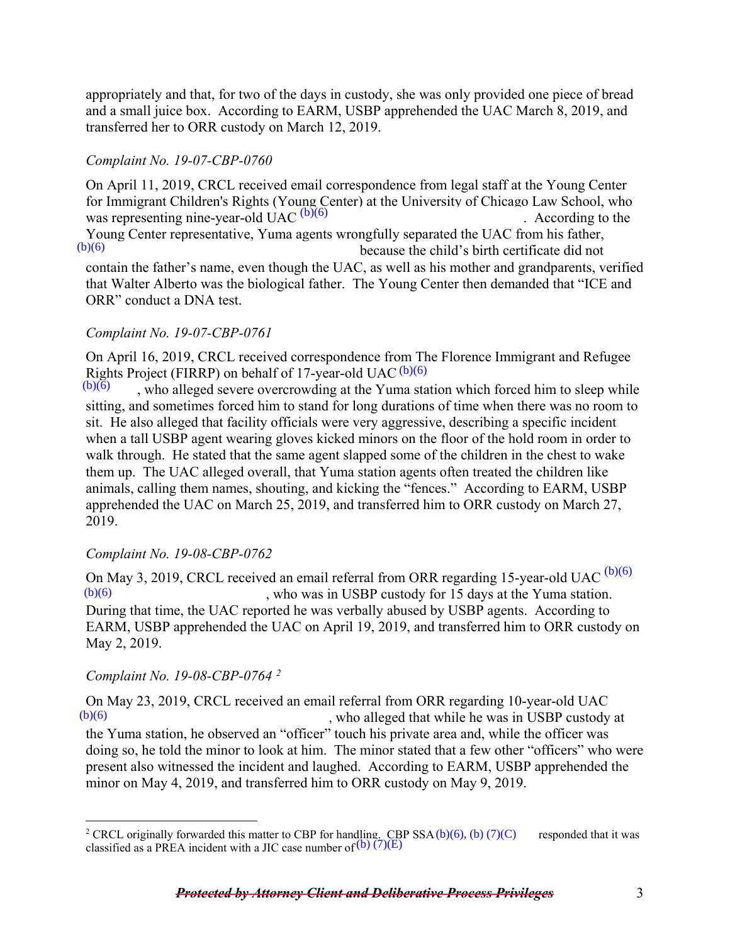appropriately and that, for two of the days in custody, she was only provided one piece of bread and a small juice box. According to EARM, USBP apprehended the UAC March 8, 2019, and transferred her to ORR custody on March 12, 2019.

## *Complaint No. 19-07-CBP-0760*

On April 11, 2019, CRCL received email correspondence from legal staff at the Young Center for Immigrant Children's Rights (Young Center) at the University of Chicago Law School, who was representing nine-year-old  $\widehat{UAC}^{(b)(6)}$  (b) According to the Young Center representative, Yuma agents wrongfully separated the UAC from his father, because the child's birth certificate did not contain the father's name, even though the UAC, as well as his mother and grandparents, verified that Walter Alberto was the biological father. The Young Center then demanded that "ICE and ORR" conduct a DNA test.  $(b)(6)$ 

### *Complaint No. 19-07-CBP-0761*

On April 16, 2019, CRCL received correspondence from The Florence Immigrant and Refugee Rights Project (FIRRP) on behalf of 17-year-old UAC (b)(6)

, who alleged severe overcrowding at the Yuma station which forced him to sleep while sitting, and sometimes forced him to stand for long durations of time when there was no room to sit. He also alleged that facility officials were very aggressive, describing a specific incident when a tall USBP agent wearing gloves kicked minors on the floor of the hold room in order to walk through. He stated that the same agent slapped some of the children in the chest to wake them up. The UAC alleged overall, that Yuma station agents often treated the children like animals, calling them names, shouting, and kicking the "fences." According to EARM, USBP apprehended the UAC on March 25, 2019, and transferred him to ORR custody on March 27, 2019.  $(b)(6)$ 

## *Complaint No. 19-08-CBP-0762*

On May 3, 2019, CRCL received an email referral from ORR regarding 15-year-old UAC  $^{(b)(6)}$ , who was in USBP custody for 15 days at the Yuma station. During that time, the UAC reported he was verbally abused by USBP agents. According to EARM, USBP apprehended the UAC on April 19, 2019, and transferred him to ORR custody on May 2, 2019.  $(b)(6)$ 

#### *Complaint No. 19-08-CBP-0764 [2](#page-2-0)*

 $\overline{a}$ 

On May 23, 2019, CRCL received an email referral from ORR regarding 10-year-old UAC , who alleged that while he was in USBP custody at  $(b)(6)$ 

the Yuma station, he observed an "officer" touch his private area and, while the officer was doing so, he told the minor to look at him. The minor stated that a few other "officers" who were present also witnessed the incident and laughed. According to EARM, USBP apprehended the minor on May 4, 2019, and transferred him to ORR custody on May 9, 2019.

<span id="page-2-0"></span><sup>&</sup>lt;sup>2</sup> CRCL originally forwarded this matter to CBP for handling. CBP SSA (b)(6), (b) (7)(C) responded that it was classified as a PREA incident with a IIC case number of (b) (7)(E) classified as a PREA incident with a JIC case number of  $(b)$  (7)(E)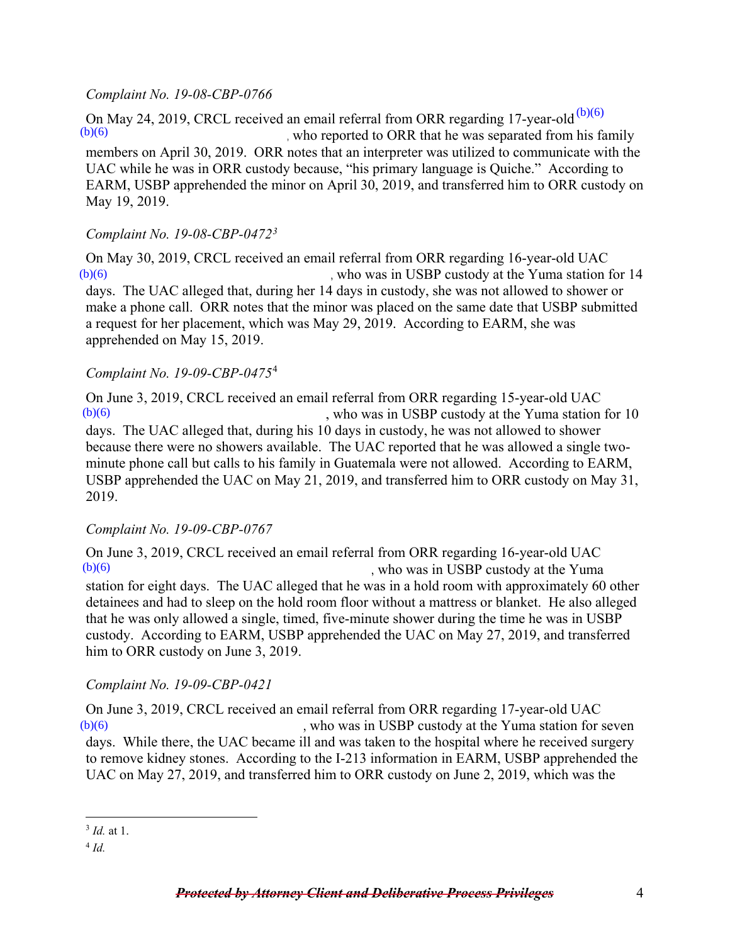#### *Complaint No. 19-08-CBP-0766*

On May 24, 2019, CRCL received an email referral from ORR regarding 17-year-old  $^{(b)(6)}$ , who reported to ORR that he was separated from his family members on April 30, 2019. ORR notes that an interpreter was utilized to communicate with the UAC while he was in ORR custody because, "his primary language is Quiche." According to EARM, USBP apprehended the minor on April 30, 2019, and transferred him to ORR custody on May 19, 2019.  $(b)(6)$ 

## *Complaint No. 19-08-CBP-0472[3](#page-3-0)*

On May 30, 2019, CRCL received an email referral from ORR regarding 16-year-old UAC , who was in USBP custody at the Yuma station for 14 days. The UAC alleged that, during her 14 days in custody, she was not allowed to shower or make a phone call. ORR notes that the minor was placed on the same date that USBP submitted a request for her placement, which was May 29, 2019. According to EARM, she was apprehended on May 15, 2019.  $(b)(6)$ 

### *Complaint No. 19-09-CBP-0475*[4](#page-3-1)

On June 3, 2019, CRCL received an email referral from ORR regarding 15-year-old UAC , who was in USBP custody at the Yuma station for 10 days. The UAC alleged that, during his 10 days in custody, he was not allowed to shower because there were no showers available. The UAC reported that he was allowed a single twominute phone call but calls to his family in Guatemala were not allowed. According to EARM, USBP apprehended the UAC on May 21, 2019, and transferred him to ORR custody on May 31, 2019.  $(b)(6)$ 

## *Complaint No. 19-09-CBP-0767*

On June 3, 2019, CRCL received an email referral from ORR regarding 16-year-old UAC , who was in USBP custody at the Yuma station for eight days. The UAC alleged that he was in a hold room with approximately 60 other detainees and had to sleep on the hold room floor without a mattress or blanket. He also alleged that he was only allowed a single, timed, five-minute shower during the time he was in USBP custody. According to EARM, USBP apprehended the UAC on May 27, 2019, and transferred him to ORR custody on June 3, 2019.  $(b)(6)$ 

## *Complaint No. 19-09-CBP-0421*

On June 3, 2019, CRCL received an email referral from ORR regarding 17-year-old UAC , who was in USBP custody at the Yuma station for seven days. While there, the UAC became ill and was taken to the hospital where he received surgery to remove kidney stones. According to the I-213 information in EARM, USBP apprehended the UAC on May 27, 2019, and transferred him to ORR custody on June 2, 2019, which was the  $(b)(6)$ 

<span id="page-3-0"></span> $\overline{a}$ <sup>3</sup> *Id.* at 1.

<span id="page-3-1"></span><sup>4</sup> *Id.*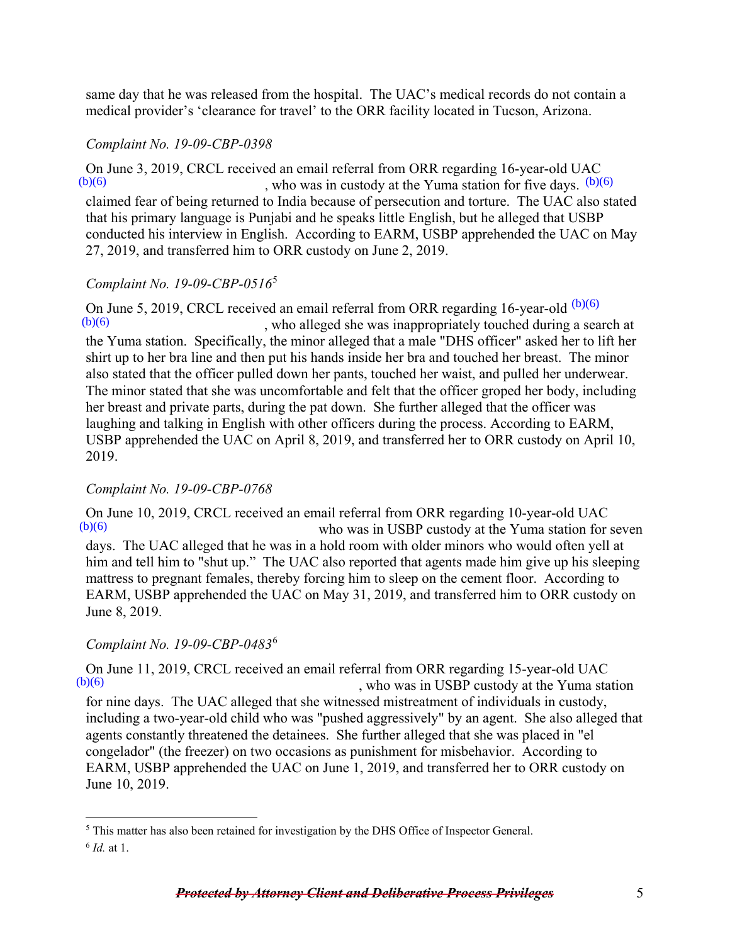same day that he was released from the hospital. The UAC's medical records do not contain a medical provider's 'clearance for travel' to the ORR facility located in Tucson, Arizona.

### *Complaint No. 19-09-CBP-0398*

On June 3, 2019, CRCL received an email referral from ORR regarding 16-year-old UAC , who was in custody at the Yuma station for five days.  $(b)(6)$ claimed fear of being returned to India because of persecution and torture. The UAC also stated that his primary language is Punjabi and he speaks little English, but he alleged that USBP conducted his interview in English. According to EARM, USBP apprehended the UAC on May 27, 2019, and transferred him to ORR custody on June 2, 2019.  $(b)(6)$ 

## *Complaint No. 19-09-CBP-0516*[5](#page-4-0)

On June 5, 2019, CRCL received an email referral from ORR regarding 16-year-old  $(b)(6)$ , who alleged she was inappropriately touched during a search at the Yuma station. Specifically, the minor alleged that a male "DHS officer" asked her to lift her shirt up to her bra line and then put his hands inside her bra and touched her breast. The minor also stated that the officer pulled down her pants, touched her waist, and pulled her underwear. The minor stated that she was uncomfortable and felt that the officer groped her body, including her breast and private parts, during the pat down. She further alleged that the officer was laughing and talking in English with other officers during the process. According to EARM, USBP apprehended the UAC on April 8, 2019, and transferred her to ORR custody on April 10, 2019.  $(b)(6)$ (b)(6)<br>(b)(6)<br>(c)  $\mu$ , who was in custody at the Yuma station for five algosed that line primery diagrage is Punjabi and he speaks little English, but he alleged that USBP conducted his interview in English. According to

# *Complaint No. 19-09-CBP-0768*

On June 10, 2019, CRCL received an email referral from ORR regarding 10-year-old UAC who was in USBP custody at the Yuma station for seven days. The UAC alleged that he was in a hold room with older minors who would often yell at him and tell him to "shut up." The UAC also reported that agents made him give up his sleeping mattress to pregnant females, thereby forcing him to sleep on the cement floor. According to EARM, USBP apprehended the UAC on May 31, 2019, and transferred him to ORR custody on June 8, 2019.  $(b)(6)$ 

# *Complaint No. 19-09-CBP-0483*[6](#page-4-1)

On June 11, 2019, CRCL received an email referral from ORR regarding 15-year-old UAC  $\frac{(b)(6)}{2}$  who was in USBP custody at the Yuma sta , who was in USBP custody at the Yuma station for nine days. The UAC alleged that she witnessed mistreatment of individuals in custody, including a two-year-old child who was "pushed aggressively" by an agent. She also alleged that agents constantly threatened the detainees. She further alleged that she was placed in "el congelador" (the freezer) on two occasions as punishment for misbehavior. According to EARM, USBP apprehended the UAC on June 1, 2019, and transferred her to ORR custody on June 10, 2019.

<span id="page-4-0"></span> $\overline{a}$ <sup>5</sup> This matter has also been retained for investigation by the DHS Office of Inspector General.

<span id="page-4-1"></span><sup>6</sup> *Id.* at 1.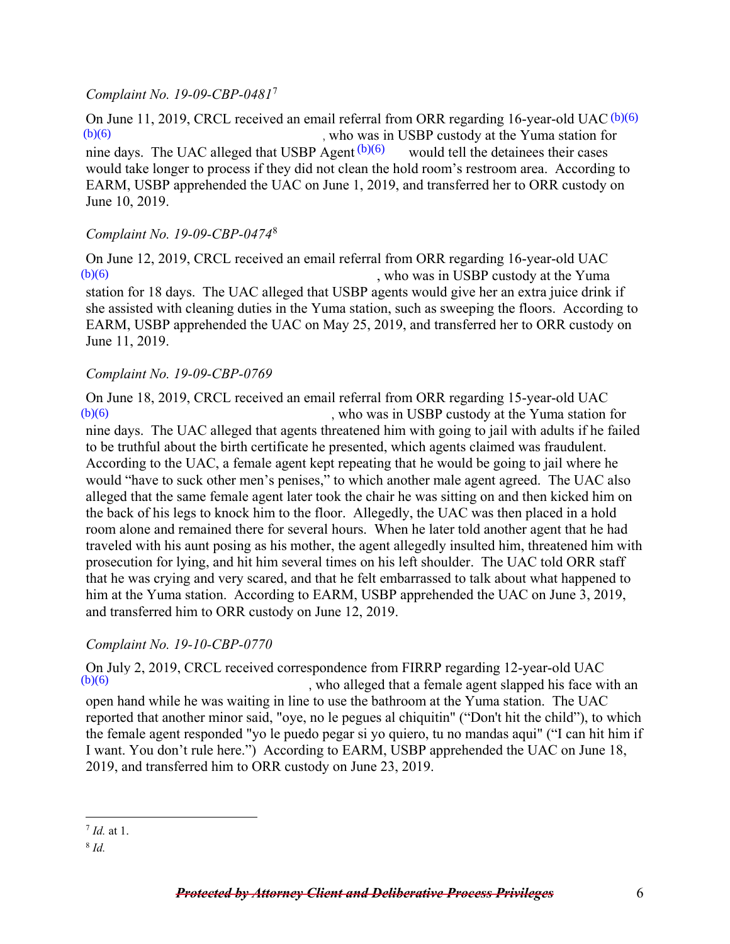#### *Complaint No. 19-09-CBP-0481*[7](#page-5-0)

On June 11, 2019, CRCL received an email referral from ORR regarding 16-year-old UAC (b)(6) , who was in USBP custody at the Yuma station for nine days. The UAC alleged that USBP Agent  $(b)(6)$  would tell the detainees their cases would take longer to process if they did not clean the hold room's restroom area. According to EARM, USBP apprehended the UAC on June 1, 2019, and transferred her to ORR custody on June 10, 2019.  $(b)(6)$ 

### *Complaint No. 19-09-CBP-0474*[8](#page-5-1)

On June 12, 2019, CRCL received an email referral from ORR regarding 16-year-old UAC , who was in USBP custody at the Yuma station for 18 days. The UAC alleged that USBP agents would give her an extra juice drink if she assisted with cleaning duties in the Yuma station, such as sweeping the floors. According to EARM, USBP apprehended the UAC on May 25, 2019, and transferred her to ORR custody on June 11, 2019.  $(b)(6)$ 

#### *Complaint No. 19-09-CBP-0769*

On June 18, 2019, CRCL received an email referral from ORR regarding 15-year-old UAC , who was in USBP custody at the Yuma station for  $(b)(6)$ 

nine days. The UAC alleged that agents threatened him with going to jail with adults if he failed to be truthful about the birth certificate he presented, which agents claimed was fraudulent. According to the UAC, a female agent kept repeating that he would be going to jail where he would "have to suck other men's penises," to which another male agent agreed. The UAC also alleged that the same female agent later took the chair he was sitting on and then kicked him on the back of his legs to knock him to the floor. Allegedly, the UAC was then placed in a hold room alone and remained there for several hours. When he later told another agent that he had traveled with his aunt posing as his mother, the agent allegedly insulted him, threatened him with prosecution for lying, and hit him several times on his left shoulder. The UAC told ORR staff that he was crying and very scared, and that he felt embarrassed to talk about what happened to him at the Yuma station. According to EARM, USBP apprehended the UAC on June 3, 2019, and transferred him to ORR custody on June 12, 2019. nine days. The UAC alleged that USBP Agent  $(0)(6)$ <br>would take longer to process if they did not clean the EARM, USBP apprehended the UAC on June 1, 201<br>June 10, 2019.<br>*Complaint No. 19-09-CBP-0474<sup>8</sup>*<br>On June 12, 2019, CR

## *Complaint No. 19-10-CBP-0770*

On July 2, 2019, CRCL received correspondence from FIRRP regarding 12-year-old UAC  $\frac{b}{6}$ , who alleged that a female agent slapped his face with an open hand while he was waiting in line to use the bathroom at the Yuma station. The UAC reported that another minor said, "oye, no le pegues al chiquitin" ("Don't hit the child"), to which the female agent responded "yo le puedo pegar si yo quiero, tu no mandas aqui" ("I can hit him if I want. You don't rule here.") According to EARM, USBP apprehended the UAC on June 18, 2019, and transferred him to ORR custody on June 23, 2019.

 $\overline{a}$ <sup>7</sup> *Id.* at 1.

<span id="page-5-1"></span><span id="page-5-0"></span><sup>8</sup> *Id.*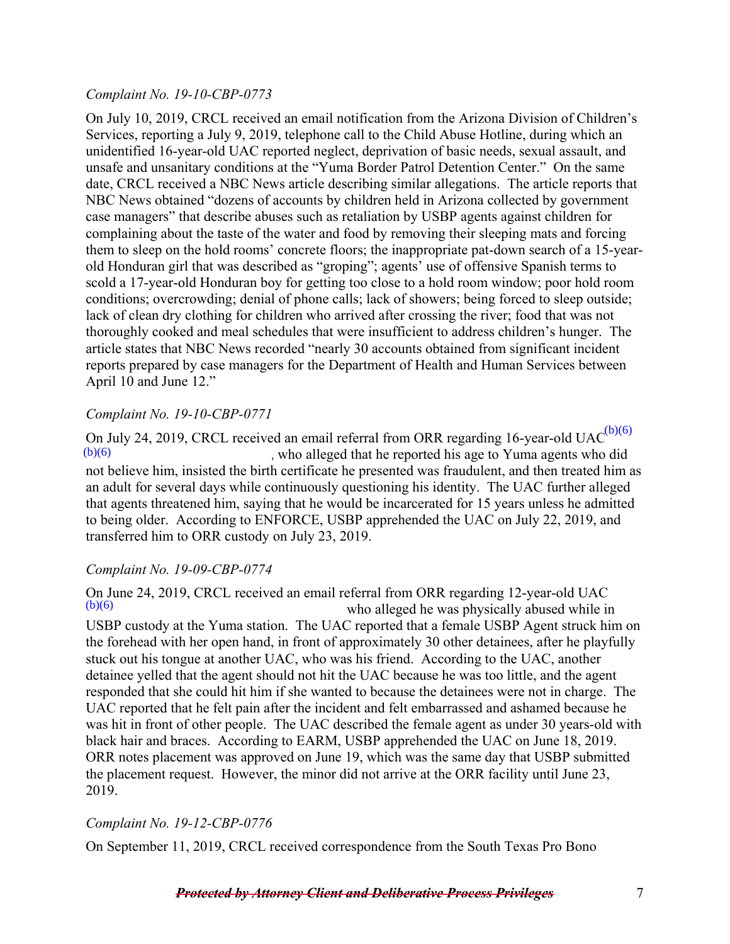### *Complaint No. 19-10-CBP-0773*

On July 10, 2019, CRCL received an email notification from the Arizona Division of Children's Services, reporting a July 9, 2019, telephone call to the Child Abuse Hotline, during which an unidentified 16-year-old UAC reported neglect, deprivation of basic needs, sexual assault, and unsafe and unsanitary conditions at the "Yuma Border Patrol Detention Center." On the same date, CRCL received a NBC News article describing similar allegations. The article reports that NBC News obtained "dozens of accounts by children held in Arizona collected by government case managers" that describe abuses such as retaliation by USBP agents against children for complaining about the taste of the water and food by removing their sleeping mats and forcing them to sleep on the hold rooms' concrete floors; the inappropriate pat-down search of a 15-yearold Honduran girl that was described as "groping"; agents' use of offensive Spanish terms to scold a 17-year-old Honduran boy for getting too close to a hold room window; poor hold room conditions; overcrowding; denial of phone calls; lack of showers; being forced to sleep outside; lack of clean dry clothing for children who arrived after crossing the river; food that was not thoroughly cooked and meal schedules that were insufficient to address children's hunger. The article states that NBC News recorded "nearly 30 accounts obtained from significant incident reports prepared by case managers for the Department of Health and Human Services between April 10 and June 12."

### *Complaint No. 19-10-CBP-0771*

On July 24, 2019, CRCL received an email referral from ORR regarding 16-year-old UAC $^{(b)(6)}$ , who alleged that he reported his age to Yuma agents who did not believe him, insisted the birth certificate he presented was fraudulent, and then treated him as an adult for several days while continuously questioning his identity. The UAC further alleged that agents threatened him, saying that he would be incarcerated for 15 years unless he admitted to being older. According to ENFORCE, USBP apprehended the UAC on July 22, 2019, and transferred him to ORR custody on July 23, 2019.  $(b)(6)$ 

## *Complaint No. 19-09-CBP-0774*

On June 24, 2019, CRCL received an email referral from ORR regarding 12-year-old UAC who alleged he was physically abused while in USBP custody at the Yuma station. The UAC reported that a female USBP Agent struck him on the forehead with her open hand, in front of approximately 30 other detainees, after he playfully stuck out his tongue at another UAC, who was his friend. According to the UAC, another detainee yelled that the agent should not hit the UAC because he was too little, and the agent responded that she could hit him if she wanted to because the detainees were not in charge. The UAC reported that he felt pain after the incident and felt embarrassed and ashamed because he was hit in front of other people. The UAC described the female agent as under 30 years-old with black hair and braces. According to EARM, USBP apprehended the UAC on June 18, 2019. ORR notes placement was approved on June 19, which was the same day that USBP submitted the placement request. However, the minor did not arrive at the ORR facility until June 23, 2019.  $(b)(6)$ 

## *Complaint No. 19-12-CBP-0776*

On September 11, 2019, CRCL received correspondence from the South Texas Pro Bono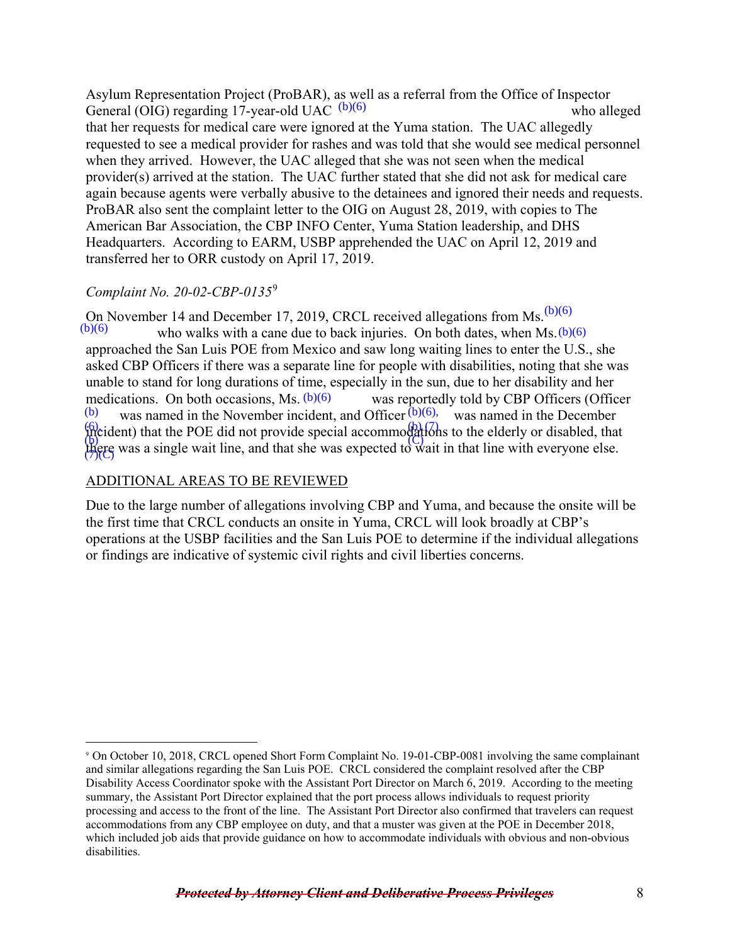Asylum Representation Project (ProBAR), as well as a referral from the Office of Inspector General (OIG) regarding 17-year-old UAC  $(b)(6)$  who alleged who alleged that her requests for medical care were ignored at the Yuma station. The UAC allegedly requested to see a medical provider for rashes and was told that she would see medical personnel when they arrived. However, the UAC alleged that she was not seen when the medical provider(s) arrived at the station. The UAC further stated that she did not ask for medical care again because agents were verbally abusive to the detainees and ignored their needs and requests. ProBAR also sent the complaint letter to the OIG on August 28, 2019, with copies to The American Bar Association, the CBP INFO Center, Yuma Station leadership, and DHS Headquarters. According to EARM, USBP apprehended the UAC on April 12, 2019 and transferred her to ORR custody on April 17, 2019.

# *Complaint No. 20-02-CBP-0135*[9](#page-7-0)

On November 14 and December 17, 2019, CRCL received allegations from Ms.  $(b)(6)$  $(b)(6)$  who walks with a cane due to back injuries. On both dates, when Ms.  $(b)(6)$ approached the San Luis POE from Mexico and saw long waiting lines to enter the U.S., she asked CBP Officers if there was a separate line for people with disabilities, noting that she was unable to stand for long durations of time, especially in the sun, due to her disability and her was reportedly told by CBP Officers (Officer was named in the November incident, and Officer  $(b)(6)$ , was named in the December  $\frac{1}{2}$  m cident) that the POE did not provide special accommodations to the elderly or disabled, that there was a single wait line, and that she was expected to wait in that line with everyone else. medications. On both occasions, Ms.  $(b)(6)$ (b) (7)(C) (C)

## ADDITIONAL AREAS TO BE REVIEWED

 $\overline{a}$ 

Due to the large number of allegations involving CBP and Yuma, and because the onsite will be the first time that CRCL conducts an onsite in Yuma, CRCL will look broadly at CBP's operations at the USBP facilities and the San Luis POE to determine if the individual allegations or findings are indicative of systemic civil rights and civil liberties concerns.

<span id="page-7-0"></span><sup>9</sup> On October 10, 2018, CRCL opened Short Form Complaint No. 19-01-CBP-0081 involving the same complainant and similar allegations regarding the San Luis POE. CRCL considered the complaint resolved after the CBP Disability Access Coordinator spoke with the Assistant Port Director on March 6, 2019. According to the meeting summary, the Assistant Port Director explained that the port process allows individuals to request priority processing and access to the front of the line. The Assistant Port Director also confirmed that travelers can request accommodations from any CBP employee on duty, and that a muster was given at the POE in December 2018, which included job aids that provide guidance on how to accommodate individuals with obvious and non-obvious disabilities.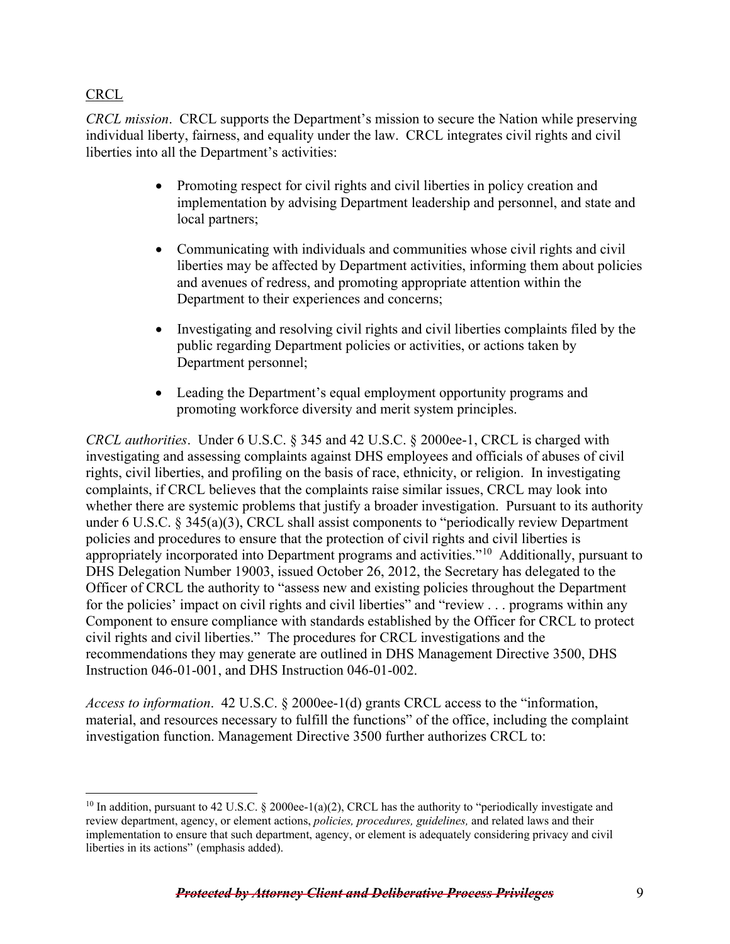# **CRCL**

*CRCL mission*. CRCL supports the Department's mission to secure the Nation while preserving individual liberty, fairness, and equality under the law. CRCL integrates civil rights and civil liberties into all the Department's activities:

- Promoting respect for civil rights and civil liberties in policy creation and implementation by advising Department leadership and personnel, and state and local partners;
- Communicating with individuals and communities whose civil rights and civil liberties may be affected by Department activities, informing them about policies and avenues of redress, and promoting appropriate attention within the Department to their experiences and concerns;
- Investigating and resolving civil rights and civil liberties complaints filed by the public regarding Department policies or activities, or actions taken by Department personnel;
- Leading the Department's equal employment opportunity programs and promoting workforce diversity and merit system principles.

*CRCL authorities*. Under 6 U.S.C. § 345 and 42 U.S.C. § 2000ee-1, CRCL is charged with investigating and assessing complaints against DHS employees and officials of abuses of civil rights, civil liberties, and profiling on the basis of race, ethnicity, or religion. In investigating complaints, if CRCL believes that the complaints raise similar issues, CRCL may look into whether there are systemic problems that justify a broader investigation. Pursuant to its authority under 6 U.S.C. § 345(a)(3), CRCL shall assist components to "periodically review Department policies and procedures to ensure that the protection of civil rights and civil liberties is appropriately incorporated into Department programs and activities."<sup>10</sup> Additionally, pursuant to DHS Delegation Number 19003, issued October 26, 2012, the Secretary has delegated to the Officer of CRCL the authority to "assess new and existing policies throughout the Department for the policies' impact on civil rights and civil liberties" and "review . . . programs within any Component to ensure compliance with standards established by the Officer for CRCL to protect civil rights and civil liberties." The procedures for CRCL investigations and the recommendations they may generate are outlined in DHS Management Directive 3500, DHS Instruction 046-01-001, and DHS Instruction 046-01-002.

*Access to information*. 42 U.S.C. § 2000ee-1(d) grants CRCL access to the "information, material, and resources necessary to fulfill the functions" of the office, including the complaint investigation function. Management Directive 3500 further authorizes CRCL to:

<span id="page-8-0"></span> $\overline{a}$ <sup>10</sup> In addition, pursuant to 42 U.S.C. § 2000ee-1(a)(2), CRCL has the authority to "periodically investigate and review department, agency, or element actions, *policies, procedures, guidelines,* and related laws and their implementation to ensure that such department, agency, or element is adequately considering privacy and civil liberties in its actions" (emphasis added).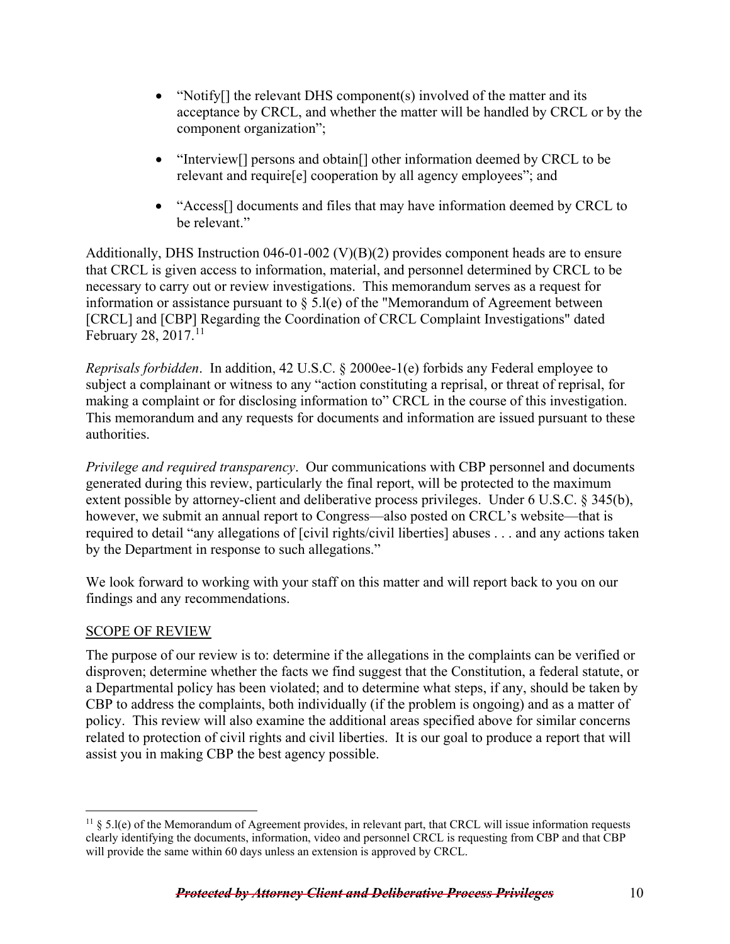- "Notify<sup>[]</sup> the relevant DHS component(s) involved of the matter and its acceptance by CRCL, and whether the matter will be handled by CRCL or by the component organization";
- "Interview<sup>[]</sup> persons and obtain<sup>[]</sup> other information deemed by CRCL to be relevant and require[e] cooperation by all agency employees"; and
- "Access<sup>[]</sup> documents and files that may have information deemed by CRCL to be relevant."

Additionally, DHS Instruction 046-01-002 (V)(B)(2) provides component heads are to ensure that CRCL is given access to information, material, and personnel determined by CRCL to be necessary to carry out or review investigations. This memorandum serves as a request for information or assistance pursuant to  $\S$  5.l(e) of the "Memorandum of Agreement between [CRCL] and [CBP] Regarding the Coordination of CRCL Complaint Investigations" dated February 28,  $2017$ .<sup>[11](#page-9-0)</sup>

*Reprisals forbidden*. In addition, 42 U.S.C. § 2000ee-1(e) forbids any Federal employee to subject a complainant or witness to any "action constituting a reprisal, or threat of reprisal, for making a complaint or for disclosing information to" CRCL in the course of this investigation. This memorandum and any requests for documents and information are issued pursuant to these authorities.

*Privilege and required transparency*. Our communications with CBP personnel and documents generated during this review, particularly the final report, will be protected to the maximum extent possible by attorney-client and deliberative process privileges. Under 6 U.S.C. § 345(b), however, we submit an annual report to Congress—also posted on CRCL's website—that is required to detail "any allegations of [civil rights/civil liberties] abuses . . . and any actions taken by the Department in response to such allegations."

We look forward to working with your staff on this matter and will report back to you on our findings and any recommendations.

## SCOPE OF REVIEW

The purpose of our review is to: determine if the allegations in the complaints can be verified or disproven; determine whether the facts we find suggest that the Constitution, a federal statute, or a Departmental policy has been violated; and to determine what steps, if any, should be taken by CBP to address the complaints, both individually (if the problem is ongoing) and as a matter of policy. This review will also examine the additional areas specified above for similar concerns related to protection of civil rights and civil liberties. It is our goal to produce a report that will assist you in making CBP the best agency possible.

<span id="page-9-0"></span> $\overline{a}$  $11 \& 5.1(e)$  of the Memorandum of Agreement provides, in relevant part, that CRCL will issue information requests clearly identifying the documents, information, video and personnel CRCL is requesting from CBP and that CBP will provide the same within 60 days unless an extension is approved by CRCL.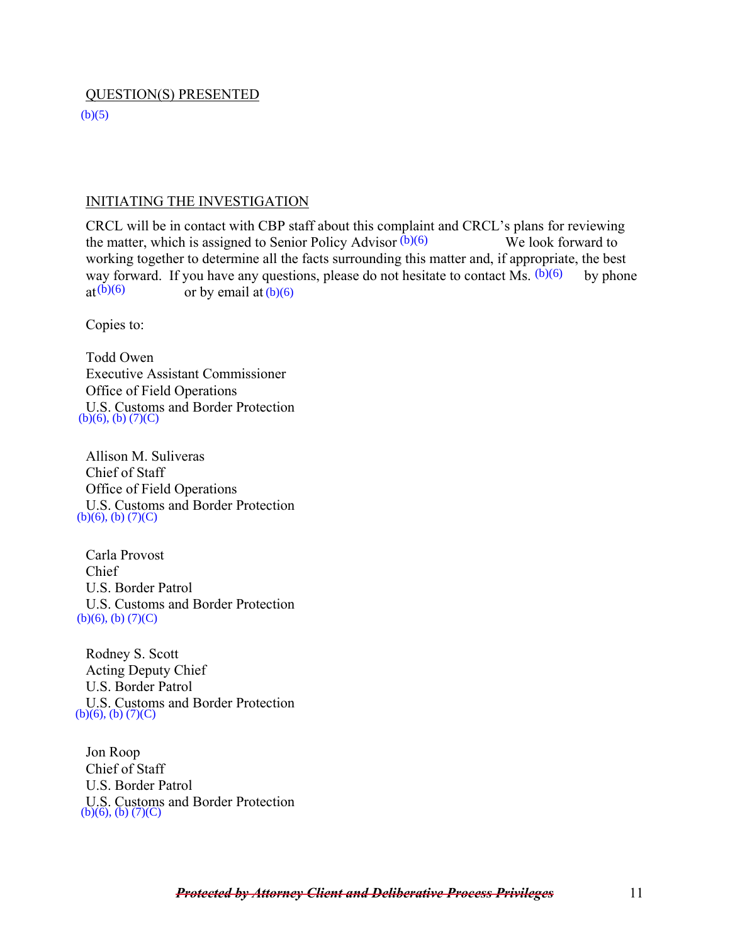#### QUESTION(S) PRESENTED

 $(b)(5)$ 

#### INITIATING THE INVESTIGATION

CRCL will be in contact with CBP staff about this complaint and CRCL's plans for reviewing the matter, which is assigned to Senior Policy Advisor  $(b)(6)$  We look forward to working together to determine all the facts surrounding this matter and, if appropriate, the best way forward. If you have any questions, please do not hesitate to contact Ms.  $(b)(6)$  by phone or by email at  $(b)(6)$ or by email at  $(b)(6)$ e matter, which is assigned to Senior Policy Advisor  $(b)(6)$  We look f<br>orking together to determine all the facts surrounding this matter and, if appropria<br>ay forward. If you have any questions, please do not hesitate to c

Copies to:

Todd Owen Executive Assistant Commissioner Office of Field Operations U.S. Customs and Border Protection  $(b)(6)$ ,  $(b)$   $(7)(C)$ 

Allison M. Suliveras Chief of Staff Office of Field Operations U.S. Customs and Border Protection  $(b)(6)$ ,  $(b)$   $(7)(C)$ 

Carla Provost Chief U.S. Border Patrol U.S. Customs and Border Protection  $(b)(6)$ ,  $(b)$   $(7)(C)$ 

Rodney S. Scott Acting Deputy Chief U.S. Border Patrol U.S. Customs and Border Protection  $(b)(6)$ ,  $(b)$   $(7)(C)$ 

Jon Roop Chief of Staff U.S. Border Patrol U.S. Customs and Border Protection  $(b)(6), (b)$  (7)(C)